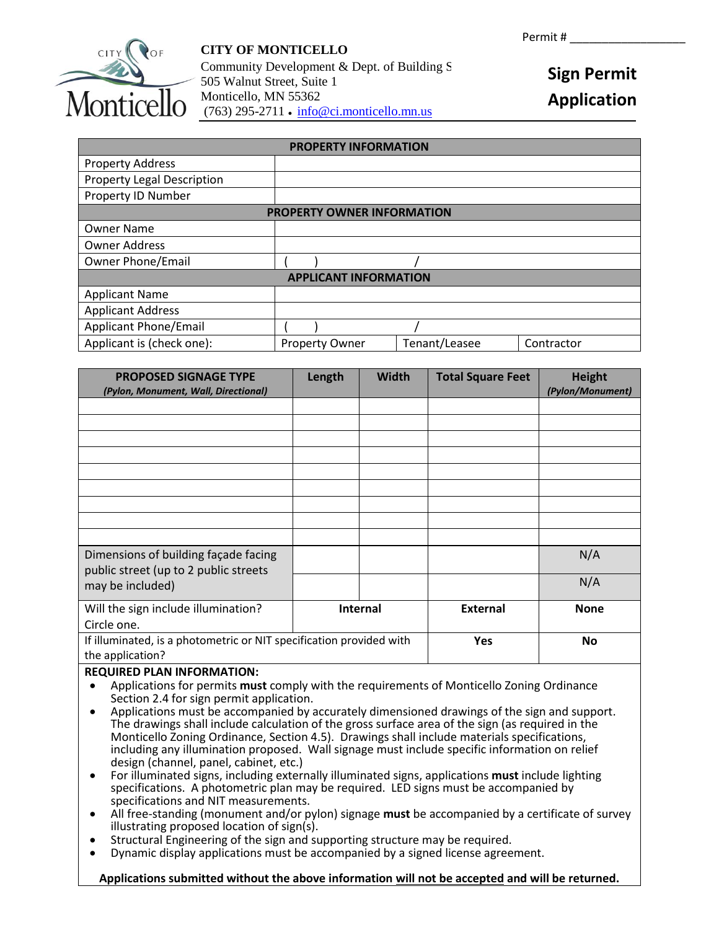

# **CITY OF MONTICELLO**  Community Development  $&$  Dept. of Building S 505 Walnut Street, Suite 1 Monticello, MN 55362 (763) 295-2711 ● [info@ci.monticello.mn.us](mailto:info@ci.monticello.mn.us)

# **Sign Permit Application**

| <b>PROPERTY INFORMATION</b>       |                       |               |            |
|-----------------------------------|-----------------------|---------------|------------|
| <b>Property Address</b>           |                       |               |            |
| <b>Property Legal Description</b> |                       |               |            |
| Property ID Number                |                       |               |            |
| <b>PROPERTY OWNER INFORMATION</b> |                       |               |            |
| <b>Owner Name</b>                 |                       |               |            |
| <b>Owner Address</b>              |                       |               |            |
| <b>Owner Phone/Email</b>          |                       |               |            |
| <b>APPLICANT INFORMATION</b>      |                       |               |            |
| <b>Applicant Name</b>             |                       |               |            |
| <b>Applicant Address</b>          |                       |               |            |
| <b>Applicant Phone/Email</b>      |                       |               |            |
| Applicant is (check one):         | <b>Property Owner</b> | Tenant/Leasee | Contractor |

| <b>PROPOSED SIGNAGE TYPE</b><br>(Pylon, Monument, Wall, Directional)                              | Length | <b>Width</b>    | <b>Total Square Feet</b> | <b>Height</b><br>(Pylon/Monument) |
|---------------------------------------------------------------------------------------------------|--------|-----------------|--------------------------|-----------------------------------|
|                                                                                                   |        |                 |                          |                                   |
|                                                                                                   |        |                 |                          |                                   |
|                                                                                                   |        |                 |                          |                                   |
|                                                                                                   |        |                 |                          |                                   |
|                                                                                                   |        |                 |                          |                                   |
|                                                                                                   |        |                 |                          |                                   |
|                                                                                                   |        |                 |                          |                                   |
|                                                                                                   |        |                 |                          |                                   |
|                                                                                                   |        |                 |                          |                                   |
| Dimensions of building façade facing<br>public street (up to 2 public streets<br>may be included) |        |                 |                          | N/A                               |
|                                                                                                   |        |                 |                          | N/A                               |
| Will the sign include illumination?                                                               |        | <b>Internal</b> | <b>External</b>          | <b>None</b>                       |
| Circle one.                                                                                       |        |                 |                          |                                   |
| If illuminated, is a photometric or NIT specification provided with<br>the application?           |        |                 | Yes                      | No                                |

### **REQUIRED PLAN INFORMATION:**

- Applications for permits **must** comply with the requirements of Monticello Zoning Ordinance Section 2.4 for sign permit application.<br>Applications must be accompanied by accurately dimensioned drawings of the sign and support.
- Applications must be accompanied by accurately dimensioned drawings of the sign and support. The drawings shall include calculation of the gross surface area of the sign (as required in the Monticello Zoning Ordinance, Section 4.5). Drawings shall include materials specifications, including any illumination proposed. Wall signage must include specific information on relief design (channel, panel, cabinet, etc.)
- For illuminated signs, including externally illuminated signs, applications **must** include lighting specifications. A photometric plan may be required. LED signs must be accompanied by specifications and NIT measurements.
- All free-standing (monument and/or pylon) signage **must** be accompanied by a certificate of survey illustrating proposed location of sign(s).
- Structural Engineering of the sign and supporting structure may be required.
- Dynamic display applications must be accompanied by a signed license agreement.

### **Applications submitted without the above information will not be accepted and will be returned.**